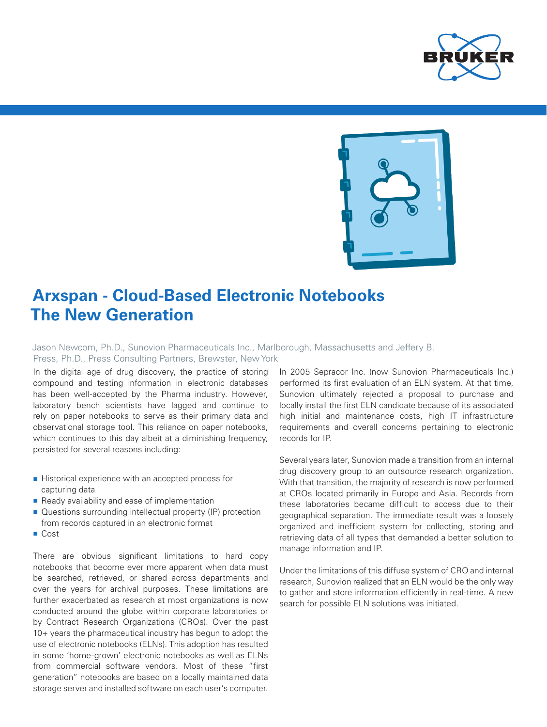



## **Arxspan - Cloud-Based Electronic Notebooks The New Generation**

Jason Newcom, Ph.D., Sunovion Pharmaceuticals Inc., Marlborough, Massachusetts and Jeffery B. Press, Ph.D., Press Consulting Partners, Brewster, New York

In the digital age of drug discovery, the practice of storing compound and testing information in electronic databases has been well-accepted by the Pharma industry. However, laboratory bench scientists have lagged and continue to rely on paper notebooks to serve as their primary data and observational storage tool. This reliance on paper notebooks, which continues to this day albeit at a diminishing frequency, persisted for several reasons including:

- Historical experience with an accepted process for capturing data
- Ready availability and ease of implementation
- Questions surrounding intellectual property (IP) protection from records captured in an electronic format
- Cost

There are obvious significant limitations to hard copy notebooks that become ever more apparent when data must be searched, retrieved, or shared across departments and over the years for archival purposes. These limitations are further exacerbated as research at most organizations is now conducted around the globe within corporate laboratories or by Contract Research Organizations (CROs). Over the past 10+ years the pharmaceutical industry has begun to adopt the use of electronic notebooks (ELNs). This adoption has resulted in some 'home-grown' electronic notebooks as well as ELNs from commercial software vendors. Most of these "first generation" notebooks are based on a locally maintained data storage server and installed software on each user's computer.

In 2005 Sepracor Inc. (now Sunovion Pharmaceuticals Inc.) performed its first evaluation of an ELN system. At that time, Sunovion ultimately rejected a proposal to purchase and locally install the first ELN candidate because of its associated high initial and maintenance costs, high IT infrastructure requirements and overall concerns pertaining to electronic records for IP.

Several years later, Sunovion made a transition from an internal drug discovery group to an outsource research organization. With that transition, the majority of research is now performed at CROs located primarily in Europe and Asia. Records from these laboratories became difficult to access due to their geographical separation. The immediate result was a loosely organized and inefficient system for collecting, storing and retrieving data of all types that demanded a better solution to manage information and IP.

Under the limitations of this diffuse system of CRO and internal research, Sunovion realized that an ELN would be the only way to gather and store information efficiently in real-time. A new search for possible ELN solutions was initiated.